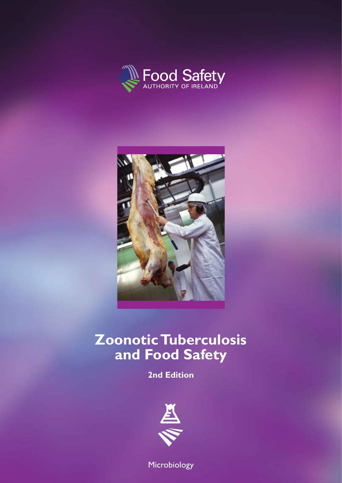



# **Zoonotic Tuberculosis and Food Safety**

**2nd Edition** 



Microbiology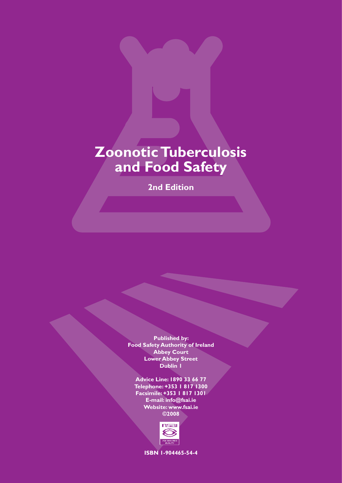# **Zoonotic Tuberculosis and Food Safety**

**2nd Edition** 

**Published by: Food Safety Authority of Ireland Abbey Court Lower Abbey Street Dublin 1**

**Advice Line: 1890 33 66 77 Telephone: +353 1 817 1300 Facsimile: +353 1 817 1301 E-mail: info@fsai.ie Website: www.fsai.ie ©2008**



**ISBN 1-904465-54-4**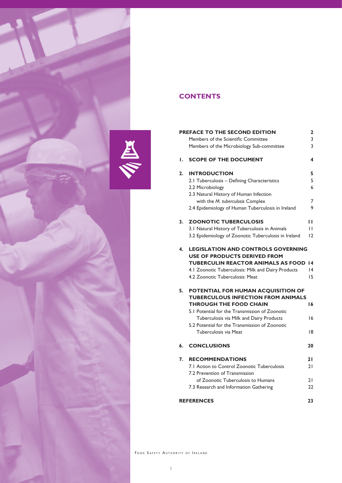

# **CONTENTS**

| PREFACE TO THE SECOND EDITION<br>2 |                                                                                  |    |  |  |
|------------------------------------|----------------------------------------------------------------------------------|----|--|--|
|                                    | Members of the Scientific Committee                                              | 3  |  |  |
|                                    | Members of the Microbiology Sub-committee                                        | 3  |  |  |
| ۱.                                 | <b>SCOPE OF THE DOCUMENT</b>                                                     | 4  |  |  |
| 2.                                 | <b>INTRODUCTION</b>                                                              | 5  |  |  |
|                                    | 2.1 Tuberculosis - Defining Characteristics                                      | 5  |  |  |
|                                    | 2.2 Microbiology                                                                 | 6  |  |  |
|                                    | 2.3 Natural History of Human Infection                                           |    |  |  |
|                                    | with the M. tuberculosis Complex                                                 | 7  |  |  |
|                                    | 2.4 Epidemiology of Human Tuberculosis in Ireland                                | 9  |  |  |
| 3.                                 | <b>ZOONOTIC TUBERCULOSIS</b>                                                     | ш  |  |  |
|                                    | 3.1 Natural History of Tuberculosis in Animals                                   | П  |  |  |
|                                    | 3.2 Epidemiology of Zoonotic Tuberculosis in Ireland                             | 12 |  |  |
| 4.                                 | <b>LEGISLATION AND CONTROLS GOVERNING</b><br><b>USE OF PRODUCTS DERIVED FROM</b> |    |  |  |
|                                    | <b>TUBERCULIN REACTOR ANIMALS AS FOOD</b>                                        | 14 |  |  |
|                                    | 4.1 Zoonotic Tuberculosis: Milk and Dairy Products                               | 14 |  |  |
|                                    | 4.2 Zoonotic Tuberculosis: Meat                                                  | 15 |  |  |
| 5.                                 | POTENTIAL FOR HUMAN ACQUISITION OF                                               |    |  |  |
|                                    | <b>TUBERCULOUS INFECTION FROM ANIMALS</b>                                        |    |  |  |
|                                    | <b>THROUGH THE FOOD CHAIN</b>                                                    | 16 |  |  |
|                                    | 5.1 Potential for the Transmission of Zoonotic                                   |    |  |  |
|                                    | Tuberculosis via Milk and Dairy Products                                         | 16 |  |  |
|                                    | 5.2 Potential for the Transmission of Zoonotic<br>Tuberculosis via Meat          | 18 |  |  |
|                                    |                                                                                  |    |  |  |
| 6.                                 | <b>CONCLUSIONS</b>                                                               | 20 |  |  |
| 7.                                 | <b>RECOMMENDATIONS</b>                                                           | 21 |  |  |
|                                    | 7.1 Action to Control Zoonotic Tuberculosis                                      | 21 |  |  |
|                                    | 7.2 Prevention of Transmission                                                   |    |  |  |
|                                    | of Zoonotic Tuberculosis to Humans                                               | 21 |  |  |
|                                    | 7.3 Research and Information Gathering                                           | 22 |  |  |
|                                    | <b>REFERENCES</b><br>23                                                          |    |  |  |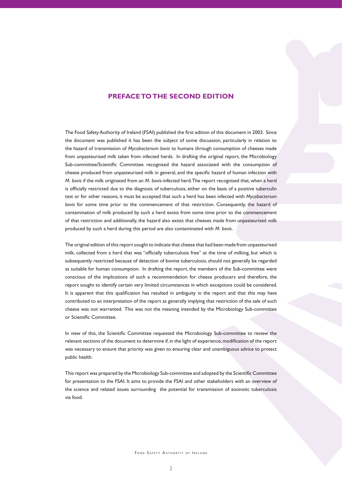## **PREFACE TO THE SECOND EDITION**

The Food SafetyAuthority of Ireland (FSAI) published the first edition of this document in 2003. Since the document was published it has been the subject of some discussion, particularly in relation to the hazard of transmission of *Mycobacterium bovis* to humans through consumption of cheeses made from unpasteurised milk taken from infected herds. In drafting the original report, the Microbiology Sub-committee/Scientific Committee recognised the hazard associated with the consumption of cheese produced from unpasteurised milk in general, and the specific hazard of human infection with *M. bovis* if the milk originated from an *M. bovis*-infected herd.The report recognised that, when a herd is officially restricted due to the diagnosis of tuberculosis, either on the basis of a positive tuberculin test or for other reasons, it must be accepted that such a herd has been infected with *Mycobacterium bovis* for some time prior to the commencement of that restriction. Consequently, the hazard of contamination of milk produced by such a herd exists from some time prior to the commencement of that restriction and additionally, the hazard also exists that cheeses made from unpasteurised milk produced by such a herd during this period are also contaminated with *M. bovis*.

The original edition of this report sought to indicate that cheese that had been made from unpasteurised milk, collected from a herd that was "officially tuberculosis free" at the time of milking, but which is subsequently restricted because of detection of bovine tuberculosis, should not generally be regarded as suitable for human consumption. In drafting the report, the members of the Sub-committee were conscious of the implications of such a recommendation for cheese producers and therefore, the report sought to identify certain very limited circumstances in which exceptions could be considered. It is apparent that this qualification has resulted in ambiguity in the report and that this may have contributed to an interpretation of the report as generally implying that restriction of the sale of such cheese was not warranted. This was not the meaning intended by the Microbiology Sub-committee or Scientific Committee.

In view of this, the Scientific Committee requested the Microbiology Sub-committee to review the relevant sections of the document to determine if, in the light of experience,modification of the report was necessary to ensure that priority was given to ensuring clear and unambiguous advice to protect public health.

This report was prepared by the Microbiology Sub-committee and adopted by the Scientific Committee for presentation to the FSAI. It aims to provide the FSAI and other stakeholders with an overview of the science and related issues surrounding the potential for transmission of zoonotic tuberculosis via food.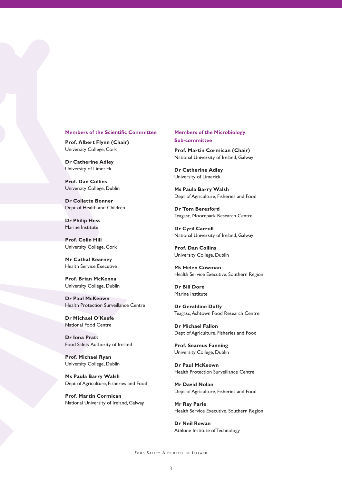#### **Members of the Scientific Committee**

**Prof. Albert Flynn (Chair)** University College, Cork

**Dr Catherine Adley** University of Limerick

**Prof. Dan Collins** University College, Dublin

**Dr Collette Bonner** Dept of Health and Children

**Dr Philip Hess** Marine Institute

**Prof. Colin Hill** University College, Cork

**Mr Cathal Kearney** Health Service Executive

**Prof. Brian McKenna** University College, Dublin

**Dr Paul McKeown** Health Protection Surveillance Centre

**Dr Michael O'Keefe** National Food Centre

**Dr Iona Pratt** Food Safety Authority of Ireland

**Prof. Michael Ryan**  University College, Dublin

**Ms Paula Barry Walsh**  Dept of Agriculture, Fisheries and Food

**Prof. Martin Cormican**  National University of Ireland, Galway **Members of the Microbiology Sub-committee**

**Prof. Martin Cormican (Chair)** National University of Ireland, Galway

**Dr Catherine Adley**  University of Limerick

**Ms Paula Barry Walsh** Dept of Agriculture, Fisheries and Food

**Dr Tom Beresford** Teagasc, Moorepark Research Centre

**Dr Cyril Carroll** National University of Ireland, Galway

**Prof. Dan Collins** University College, Dublin

**Ms Helen Cowman** Health Service Executive, Southern Region

**Dr Bill Doré** Marine Institute

**Dr Geraldine Duffy** Teagasc,Ashtown Food Research Centre

**Dr Michael Fallon** Dept of Agriculture, Fisheries and Food

**Prof. Seamus Fanning** University College, Dublin

**Dr Paul McKeown** Health Protection Surveillance Centre

**Mr David Nolan** Dept of Agriculture, Fisheries and Food

**Mr Ray Parle** Health Service Executive, Southern Region

**Dr Neil Rowan** Athlone Institute of Technology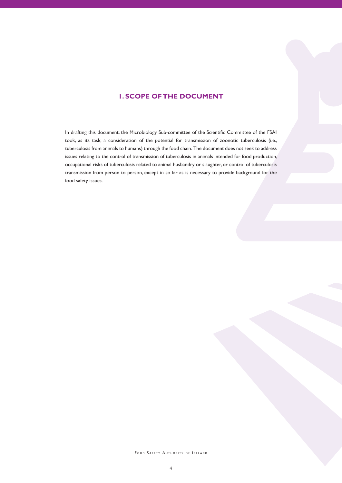# **1. SCOPE OF THE DOCUMENT**

In drafting this document, the Microbiology Sub-committee of the Scientific Committee of the FSAI took, as its task, a consideration of the potential for transmission of zoonotic tuberculosis (i.e., tuberculosis from animals to humans) through the food chain. The document does not seek to address issues relating to the control of transmission of tuberculosis in animals intended for food production, occupational risks of tuberculosis related to animal husbandry or slaughter, or control of tuberculosis transmission from person to person, except in so far as is necessary to provide background for the food safety issues.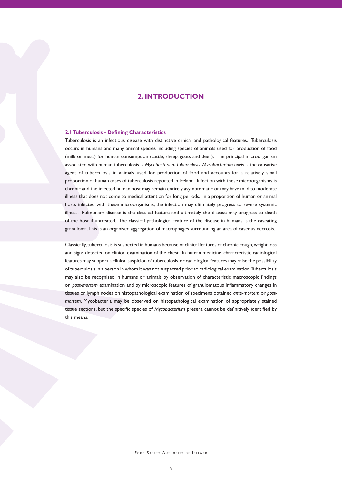## **2. INTRODUCTION**

#### **2.1 Tuberculosis - Defining Characteristics**

Tuberculosis is an infectious disease with distinctive clinical and pathological features. Tuberculosis occurs in humans and many animal species including species of animals used for production of food (milk or meat) for human consumption (cattle, sheep, goats and deer). The principal microorganism associated with human tuberculosis is *Mycobacterium tuberculosis*. *Mycobacterium bovis* is the causative agent of tuberculosis in animals used for production of food and accounts for a relatively small proportion of human cases of tuberculosis reported in Ireland. Infection with these microorganisms is chronic and the infected human host may remain entirely asymptomatic or may have mild to moderate illness that does not come to medical attention for long periods. In a proportion of human or animal hosts infected with these microorganisms, the infection may ultimately progress to severe systemic illness. Pulmonary disease is the classical feature and ultimately the disease may progress to death of the host if untreated. The classical pathological feature of the disease in humans is the caseating granuloma.This is an organised aggregation of macrophages surrounding an area of caseous necrosis.

Classically,tuberculosis is suspected in humans because of clinical features of chronic cough,weight loss and signs detected on clinical examination of the chest. In human medicine, characteristic radiological features may support a clinical suspicion of tuberculosis,or radiological features may raise the possibility of tuberculosis in a person in whom it was not suspected prior to radiological examination.Tuberculosis may also be recognised in humans or animals by observation of characteristic macroscopic findings on *post-mortem* examination and by microscopic features of granulomatous inflammatory changes in tissues or lymph nodes on histopathological examination of specimens obtained *ante-mortem* or *postmortem*. Mycobacteria may be observed on histopathological examination of appropriately stained tissue sections, but the specific species of *Mycobacterium* present cannot be definitively identified by this means.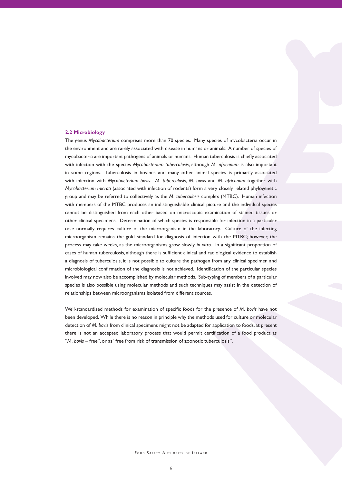#### **2.2 Microbiology**

The genus *Mycobacterium* comprises more than 70 species. Many species of mycobacteria occur in the environment and are rarely associated with disease in humans or animals. A number of species of mycobacteria are important pathogens of animals or humans. Human tuberculosis is chiefly associated with infection with the species *Mycobacterium tuberculosis*, although *M. africanum* is also important in some regions. Tuberculosis in bovines and many other animal species is primarily associated with infection with *Mycobacterium bovis*. *M. tuberculosis*, *M. bovis* and *M. africanum* together with *Mycobacterium microti* (associated with infection of rodents) form a very closely related phylogenetic group and may be referred to collectively as the *M. tuberculosis* complex (MTBC). Human infection with members of the MTBC produces an indistinguishable clinical picture and the individual species cannot be distinguished from each other based on microscopic examination of stained tissues or other clinical specimens. Determination of which species is responsible for infection in a particular case normally requires culture of the microorganism in the laboratory. Culture of the infecting microorganism remains the gold standard for diagnosis of infection with the MTBC; however, the process may take weeks, as the microorganisms grow slowly *in vitro*. In a significant proportion of cases of human tuberculosis, although there is sufficient clinical and radiological evidence to establish a diagnosis of tuberculosis, it is not possible to culture the pathogen from any clinical specimen and microbiological confirmation of the diagnosis is not achieved. Identification of the particular species involved may now also be accomplished by molecular methods. Sub-typing of members of a particular species is also possible using molecular methods and such techniques may assist in the detection of relationships between microorganisms isolated from different sources.

Well-standardised methods for examination of specific foods for the presence of *M. bovis* have not been developed. While there is no reason in principle why the methods used for culture or molecular detection of *M. bovis* from clinical specimens might not be adapted for application to foods, at present there is not an accepted laboratory process that would permit certification of a food product as "*M. bovis* – free", or as "free from risk of transmission of zoonotic tuberculosis".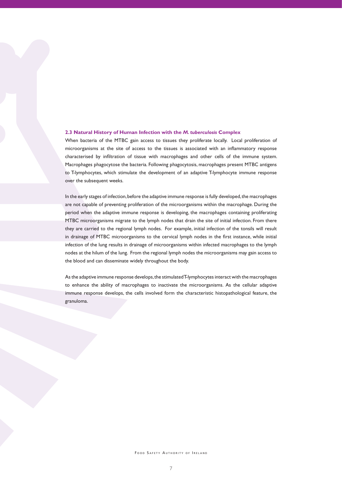#### **2.3 Natural History of Human Infection with the** *M. tuberculosis* **Complex**

When bacteria of the MTBC gain access to tissues they proliferate locally. Local proliferation of microorganisms at the site of access to the tissues is associated with an inflammatory response characterised by infiltration of tissue with macrophages and other cells of the immune system. Macrophages phagocytose the bacteria. Following phagocytosis, macrophages present MTBC antigens to T-lymphocytes, which stimulate the development of an adaptive T-lymphocyte immune response over the subsequent weeks.

In the early stages of infection,before the adaptive immune response is fully developed,the macrophages are not capable of preventing proliferation of the microorganisms within the macrophage. During the period when the adaptive immune response is developing, the macrophages containing proliferating MTBC microorganisms migrate to the lymph nodes that drain the site of initial infection. From there they are carried to the regional lymph nodes. For example, initial infection of the tonsils will result in drainage of MTBC microorganisms to the cervical lymph nodes in the first instance, while initial infection of the lung results in drainage of microorganisms within infected macrophages to the lymph nodes at the hilum of the lung. From the regional lymph nodes the microorganisms may gain access to the blood and can disseminate widely throughout the body.

As the adaptive immune response develops, the stimulated T-lymphocytes interact with the macrophages to enhance the ability of macrophages to inactivate the microorganisms. As the cellular adaptive immune response develops, the cells involved form the characteristic histopathological feature, the granuloma.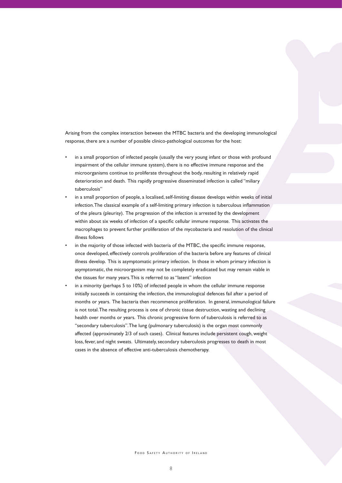Arising from the complex interaction between the MTBC bacteria and the developing immunological response, there are a number of possible clinico-pathological outcomes for the host:

- in a small proportion of infected people (usually the very young infant or those with profound impairment of the cellular immune system), there is no effective immune response and the microorganisms continue to proliferate throughout the body,resulting in relatively rapid deterioration and death. This rapidly progressive disseminated infection is called "miliary tuberculosis"
- in a small proportion of people, a localised, self-limiting disease develops within weeks of initial infection.The classical example of a self-limiting primary infection is tuberculous inflammation of the pleura (pleurisy). The progression of the infection is arrested by the development within about six weeks of infection of a specific cellular immune response. This activates the macrophages to prevent further proliferation of the mycobacteria and resolution of the clinical illness follows
- in the majority of those infected with bacteria of the MTBC, the specific immune response, once developed, effectively controls proliferation of the bacteria before any features of clinical illness develop. This is asymptomatic primary infection. In those in whom primary infection is asymptomatic, the microorganism may not be completely eradicated but may remain viable in the tissues for many years.This is referred to as "latent" infection
- in a minority (perhaps 5 to 10%) of infected people in whom the cellular immune response initially succeeds in containing the infection, the immunological defences fail after a period of months or years. The bacteria then recommence proliferation. In general, immunological failure is not total.The resulting process is one of chronic tissue destruction, wasting and declining health over months or years. This chronic progressive form of tuberculosis is referred to as "secondary tuberculosis".The lung (pulmonary tuberculosis) is the organ most commonly affected (approximately 2/3 of such cases). Clinical features include persistent cough, weight loss, fever, and night sweats. Ultimately, secondary tuberculosis progresses to death in most cases in the absence of effective anti-tuberculosis chemotherapy.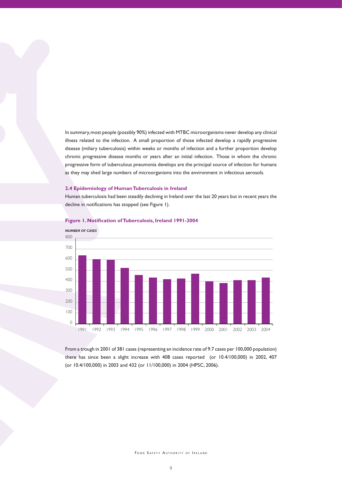In summary,most people (possibly 90%) infected with MTBC microorganisms never develop any clinical illness related to the infection. A small proportion of those infected develop a rapidly progressive disease (miliary tuberculosis) within weeks or months of infection and a further proportion develop chronic progressive disease months or years after an initial infection. Those in whom the chronic progressive form of tuberculous pneumonia develops are the principal source of infection for humans as they may shed large numbers of microorganisms into the environment in infectious aerosols.

#### **2.4 Epidemiology of Human Tuberculosis in Ireland**

Human tuberculosis had been steadily declining in Ireland over the last 20 years but in recent years the decline in notifications has stopped (see Figure 1).



#### **Figure 1. Notification of Tuberculosis, Ireland 1991-2004**

From a trough in 2001 of 381 cases (representing an incidence rate of 9.7 cases per 100,000 population) there has since been a slight increase with 408 cases reported (or 10.4/100,000) in 2002, 407 (or 10.4/100,000) in 2003 and 432 (or 11/100,000) in 2004 (HPSC, 2006).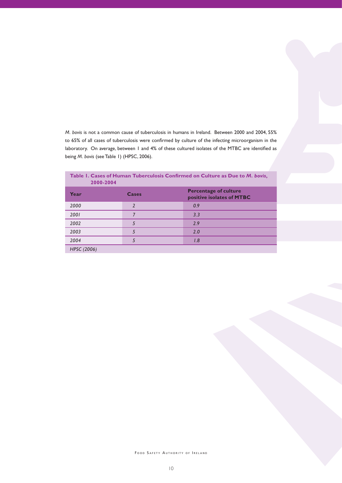*M. bovis* is not a common cause of tuberculosis in humans in Ireland. Between 2000 and 2004, 55% to 65% of all cases of tuberculosis were confirmed by culture of the infecting microorganism in the laboratory. On average, between 1 and 4% of these cultured isolates of the MTBC are identified as being *M. bovis* (see Table 1) (HPSC, 2006).

| Table 1. Cases of Human Tuberculosis Confirmed on Culture as Due to M. bovis,<br>2000-2004 |       |                                                           |  |  |
|--------------------------------------------------------------------------------------------|-------|-----------------------------------------------------------|--|--|
| Year                                                                                       | Cases | <b>Percentage of culture</b><br>positive isolates of MTBC |  |  |
| 2000                                                                                       |       | 0.9                                                       |  |  |
| 2001                                                                                       |       | 3.3                                                       |  |  |
| 2002                                                                                       |       | 2.9                                                       |  |  |
| 2003                                                                                       |       | 2.0                                                       |  |  |
| 2004                                                                                       |       | 1.8                                                       |  |  |
| HPSC (2006)                                                                                |       |                                                           |  |  |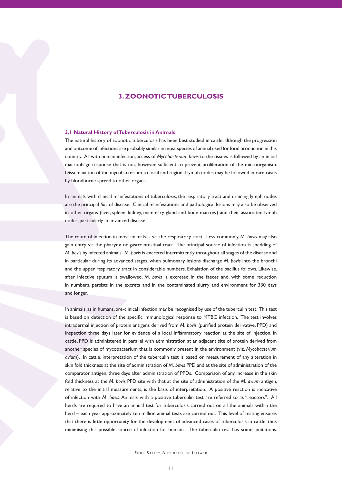# **3. ZOONOTIC TUBERCULOSIS**

#### **3.1 Natural History of Tuberculosis in Animals**

The natural history of zoonotic tuberculosis has been best studied in cattle, although the progression and outcome of infections are probably similar in most species of animal used for food production in this country. As with human infection, access of *Mycobacterium bovis* to the tissues is followed by an initial macrophage response that is not, however, sufficient to prevent proliferation of the microorganism. Dissemination of the mycobacterium to local and regional lymph nodes may be followed in rare cases by bloodborne spread to other organs.

In animals with clinical manifestations of tuberculosis, the respiratory tract and draining lymph nodes are the principal *foci* of disease. Clinical manifestations and pathological lesions may also be observed in other organs (liver, spleen, kidney, mammary gland and bone marrow) and their associated lymph nodes, particularly in advanced disease.

The route of infection in most animals is via the respiratory tract. Less commonly, *M. bovis* may also gain entry via the pharynx or gastrointestinal tract. The principal source of infection is shedding of *M. bovis* by infected animals. *M. bovis* is excreted intermittently throughout all stages of the disease and in particular during its advanced stages, when pulmonary lesions discharge *M. bovis* into the bronchi and the upper respiratory tract in considerable numbers. Exhalation of the bacillus follows. Likewise, after infective sputum is swallowed, *M. bovis* is excreted in the faeces and, with some reduction in numbers, persists in the excreta and in the contaminated slurry and environment for 330 days and longer.

In animals, as in humans, pre-clinical infection may be recognised by use of the tuberculin test. This test is based on detection of the specific immunological response to MTBC infection. The test involves intradermal injection of protein antigens derived from *M. bovis* (purified protein derivative, PPD) and inspection three days later for evidence of a local inflammatory reaction at the site of injection. In cattle, PPD is administered in parallel with administration at an adjacent site of protein derived from another species of mycobacterium that is commonly present in the environment (viz. *Mycobacterium avium*). In cattle, interpretation of the tuberculin test is based on measurement of any alteration in skin fold thickness at the site of administration of *M. bovis* PPD and at the site of administration of the comparator antigen, three days after administration of PPDs. Comparison of any increase in the skin fold thickness at the *M. bovis* PPD site with that at the site of administration of the *M. avium* antigen, relative to the initial measurements, is the basis of interpretation. A positive reaction is indicative of infection with *M. bovis*. Animals with a positive tuberculin test are referred to as "reactors". All herds are required to have an annual test for tuberculosis carried out on all the animals within the herd – each year approximately ten million animal tests are carried out. This level of testing ensures that there is little opportunity for the development of advanced cases of tuberculosis in cattle, thus minimising this possible source of infection for humans. The tuberculin test has some limitations.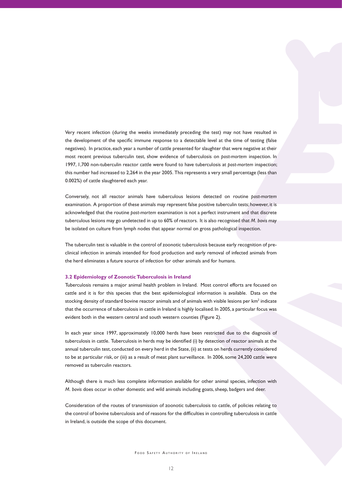Very recent infection (during the weeks immediately preceding the test) may not have resulted in the development of the specific immune response to a detectable level at the time of testing (false negatives). In practice, each year a number of cattle presented for slaughter that were negative at their most recent previous tuberculin test, show evidence of tuberculosis on *post-mortem* inspection. In 1997, 1,700 non-tuberculin reactor cattle were found to have tuberculosis at *post-mortem* inspection; this number had increased to 2,264 in the year 2005. This represents a very small percentage (less than 0.002%) of cattle slaughtered each year.

Conversely, not all reactor animals have tuberculous lesions detected on routine *post-mortem* examination. A proportion of these animals may represent false positive tuberculin tests; however, it is acknowledged that the routine *post-mortem* examination is not a perfect instrument and that discrete tuberculous lesions may go undetected in up to 60% of reactors. It is also recognised that *M. bovis* may be isolated on culture from lymph nodes that appear normal on gross pathological inspection.

The tuberculin test is valuable in the control of zoonotic tuberculosis because early recognition of preclinical infection in animals intended for food production and early removal of infected animals from the herd eliminates a future source of infection for other animals and for humans.

#### **3.2 Epidemiology of Zoonotic Tuberculosis in Ireland**

Tuberculosis remains a major animal health problem in Ireland. Most control efforts are focused on cattle and it is for this species that the best epidemiological information is available. Data on the stocking density of standard bovine reactor animals and of animals with visible lesions per  $km^2$  indicate that the occurrence of tuberculosis in cattle in Ireland is highly localised. In 2005, a particular focus was evident both in the western central and south western counties (Figure 2).

In each year since 1997, approximately 10,000 herds have been restricted due to the diagnosis of tuberculosis in cattle. Tuberculosis in herds may be identified (i) by detection of reactor animals at the annual tuberculin test, conducted on every herd in the State,(ii) at tests on herds currently considered to be at particular risk, or (iii) as a result of meat plant surveillance. In 2006,some 24,200 cattle were removed as tuberculin reactors.

Although there is much less complete information available for other animal species, infection with *M. bovis* does occur in other domestic and wild animals including goats, sheep, badgers and deer.

Consideration of the routes of transmission of zoonotic tuberculosis to cattle, of policies relating to the control of bovine tuberculosis and of reasons for the difficulties in controlling tuberculosis in cattle in Ireland, is outside the scope of this document.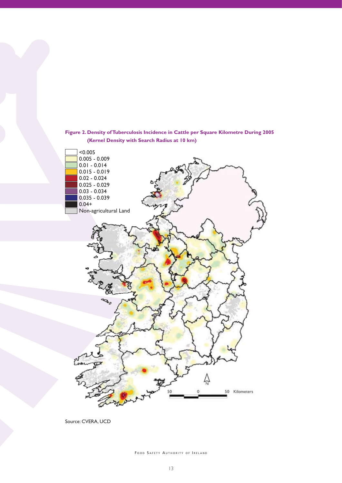



Source: CVERA, UCD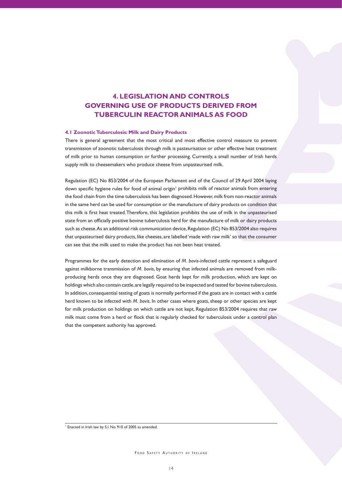# **4. LEGISLATION AND CONTROLS GOVERNING USE OF PRODUCTS DERIVED FROM TUBERCULIN REACTOR ANIMALS AS FOOD**

#### **4.1 Zoonotic Tuberculosis: Milk and Dairy Products**

There is general agreement that the most critical and most effective control measure to prevent transmission of zoonotic tuberculosis through milk is pasteurisation or other effective heat treatment of milk prior to human consumption or further processing. Currently, a small number of Irish herds supply milk to cheesemakers who produce cheese from unpasteurised milk.

Regulation (EC) No 853/2004 of the European Parliament and of the Council of 29 April 2004 laying down specific hygiene rules for food of animal origin<sup>1</sup> prohibits milk of reactor animals from entering the food chain from the time tuberculosis has been diagnosed.However,milk from non-reactor animals in the same herd can be used for consumption or the manufacture of dairy products on condition that this milk is first heat treated.Therefore, this legislation prohibits the use of milk in the unpasteurised state from an officially positive bovine tuberculosis herd for the manufacture of milk or dairy products such as cheese.As an additional risk communication device, Regulation (EC) No 853/2004 also requires that unpasteurised dairy products, like cheeses, are labelled 'made with raw milk' so that the consumer can see that the milk used to make the product has not been heat treated.

Programmes for the early detection and elimination of *M. bovis*-infected cattle represent a safeguard against milkborne transmission of *M. bovis*, by ensuring that infected animals are removed from milkproducing herds once they are diagnosed. Goat herds kept for milk production, which are kept on holdings which also contain cattle,are legally required to be inspected and tested for bovine tuberculosis. In addition, consequential testing of goats is normally performed if the goats are in contact with a cattle herd known to be infected with *M. bovis*. In other cases where goats,sheep or other species are kept for milk production on holdings on which cattle are not kept, Regulation 853/2004 requires that raw milk must come from a herd or flock that is regularly checked for tuberculosis under a control plan that the competent authority has approved.

<sup>1</sup> Enacted in Irish law by S.I. No. 910 of 2005 as amended.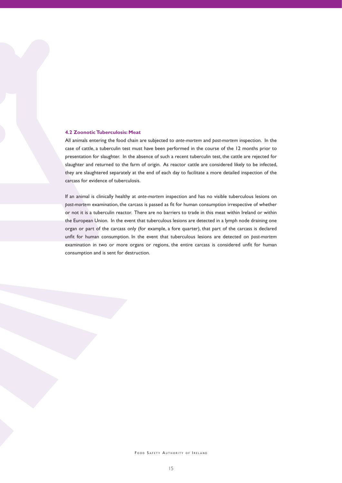#### **4.2 Zoonotic Tuberculosis: Meat**

All animals entering the food chain are subjected to *ante-mortem* and *post-mortem* inspection. In the case of cattle, a tuberculin test must have been performed in the course of the 12 months prior to presentation for slaughter. In the absence of such a recent tuberculin test, the cattle are rejected for slaughter and returned to the farm of origin. As reactor cattle are considered likely to be infected, they are slaughtered separately at the end of each day to facilitate a more detailed inspection of the carcass for evidence of tuberculosis.

If an animal is clinically healthy at *ante-mortem* inspection and has no visible tuberculous lesions on *post-mortem* examination, the carcass is passed as fit for human consumption irrespective of whether or not it is a tuberculin reactor. There are no barriers to trade in this meat within Ireland or within the European Union. In the event that tuberculous lesions are detected in a lymph node draining one organ or part of the carcass only (for example, a fore quarter), that part of the carcass is declared unfit for human consumption. In the event that tuberculous lesions are detected on *post-mortem*  examination in two or more organs or regions, the entire carcass is considered unfit for human consumption and is sent for destruction.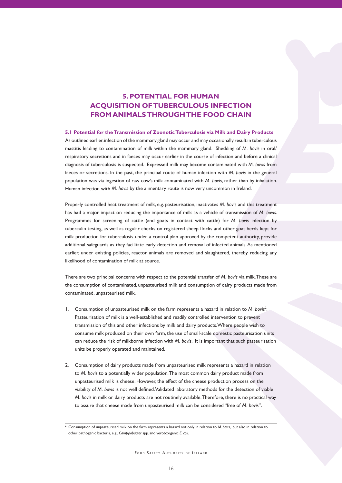# **5. POTENTIAL FOR HUMAN ACQUISITION OF TUBERCULOUS INFECTION FROM ANIMALS THROUGH THE FOOD CHAIN**

#### **5.1 Potential for the Transmission of Zoonotic Tuberculosis via Milk and Dairy Products**

As outlined earlier,infection of the mammary gland may occur and may occasionally result in tuberculous mastitis leading to contamination of milk within the mammary gland. Shedding of *M. bovis* in oral/ respiratory secretions and in faeces may occur earlier in the course of infection and before a clinical diagnosis of tuberculosis is suspected. Expressed milk may become contaminated with *M. bovis* from faeces or secretions. In the past, the principal route of human infection with *M. bovis* in the general population was via ingestion of raw cow's milk contaminated with *M. bovis*, rather than by inhalation. Human infection with *M. bovis* by the alimentary route is now very uncommon in Ireland.

Properly controlled heat treatment of milk, e.g. pasteurisation, inactivates *M. bovis* and this treatment has had a major impact on reducing the importance of milk as a vehicle of transmission of *M. bovis*. Programmes for screening of cattle (and goats in contact with cattle) for *M. bovis* infection by tuberculin testing, as well as regular checks on registered sheep flocks and other goat herds kept for milk production for tuberculosis under a control plan approved by the competent authority, provide additional safeguards as they facilitate early detection and removal of infected animals.As mentioned earlier, under existing policies, reactor animals are removed and slaughtered, thereby reducing any likelihood of contamination of milk at source.

There are two principal concerns with respect to the potential transfer of *M. bovis* via milk.These are the consumption of contaminated, unpasteurised milk and consumption of dairy products made from contaminated, unpasteurised milk.

- 1. Consumption of unpasteurised milk on the farm represents a hazard in relation to *M. bovis<sup>2</sup>*. Pasteurisation of milk is a well-established and readily controlled intervention to prevent transmission of this and other infections by milk and dairy products.Where people wish to consume milk produced on their own farm, the use of small-scale domestic pasteurisation units can reduce the risk of milkborne infection with *M. bovis*. It is important that such pasteurisation units be properly operated and maintained.
- 2. Consumption of dairy products made from unpasteurised milk represents a hazard in relation to *M. bovis* to a potentially wider population.The most common dairy product made from unpasteurised milk is cheese. However, the effect of the cheese production process on the viability of *M. bovis* is not well defined.Validated laboratory methods for the detection of viable *M. bovis* in milk or dairy products are not routinely available.Therefore, there is no practical way to assure that cheese made from unpasteurised milk can be considered "free of *M. bovis*".

<sup>2</sup> Consumption of unpasteurised milk on the farm represents a hazard not only in relation to *M. bovis*, but also in relation to other pathogenic bacteria, e.g., *Campylobacter* spp. and verotoxigenic *E. coli*.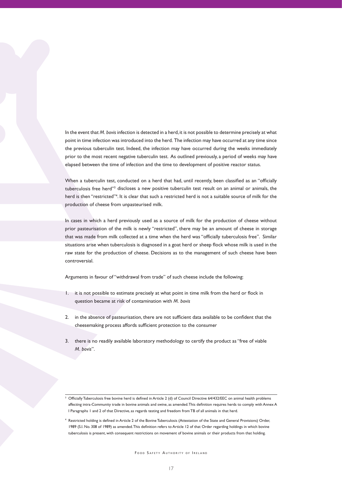In the event that *M. bovis* infection is detected in a herd, it is not possible to determine precisely at what point in time infection was introduced into the herd. The infection may have occurred at any time since the previous tuberculin test. Indeed, the infection may have occurred during the weeks immediately prior to the most recent negative tuberculin test. As outlined previously, a period of weeks may have elapsed between the time of infection and the time to development of positive reactor status.

When a tuberculin test, conducted on a herd that had, until recently, been classified as an "officially tuberculosis free herd"3 discloses a new positive tuberculin test result on an animal or animals, the herd is then "restricted"<sup>4</sup>. It is clear that such a restricted herd is not a suitable source of milk for the production of cheese from unpasteurised milk.

In cases in which a herd previously used as a source of milk for the production of cheese without prior pasteurisation of the milk is newly "restricted", there may be an amount of cheese in storage that was made from milk collected at a time when the herd was "officially tuberculosis free". Similar situations arise when tuberculosis is diagnosed in a goat herd or sheep flock whose milk is used in the raw state for the production of cheese. Decisions as to the management of such cheese have been controversial.

Arguments in favour of "withdrawal from trade" of such cheese include the following:

- 1. it is not possible to estimate precisely at what point in time milk from the herd or flock in question became at risk of contamination with *M. bovis*
- 2. in the absence of pasteurisation, there are not sufficient data available to be confident that the cheesemaking process affords sufficient protection to the consumer
- 3. there is no readily available laboratory methodology to certify the product as "free of viable *M. bovis*".

 $^3$  Officially Tuberculosis free bovine herd is defined in Article 2 (d) of Council Directive 64/432/EEC on animal health problems affecting intra-Community trade in bovine animals and swine, as amended.This definition requires herds to comply with Annex A I Paragraphs 1 and 2 of that Directive, as regards testing and freedom fromTB of all animals in that herd.

<sup>4</sup> Restricted holding is defined in Article 2 of the Bovine Tuberculosis (Attestation of the State and General Provisions) Order, 1989 (S.I. No. 308 of 1989) as amended.This definition refers to Article 12 of that Order regarding holdings in which bovine tuberculosis is present, with consequent restrictions on movement of bovine animals or their products from that holding.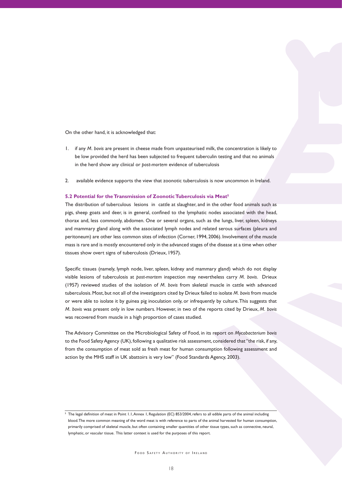On the other hand, it is acknowledged that:

- 1. if any *M. bovis* are present in cheese made from unpasteurised milk, the concentration is likely to be low provided the herd has been subjected to frequent tuberculin testing and that no animals in the herd show any clinical or *post-mortem* evidence of tuberculosis
- 2. available evidence supports the view that zoonotic tuberculosis is now uncommon in Ireland.

#### **5.2 Potential for the Transmission of Zoonotic Tuberculosis via Meat5**

The distribution of tuberculous lesions in cattle at slaughter, and in the other food animals such as pigs, sheep goats and deer, is in general, confined to the lymphatic nodes associated with the head, thorax and, less commonly, abdomen. One or several organs, such as the lungs, liver, spleen, kidneys and mammary gland along with the associated lymph nodes and related serous surfaces (pleura and peritoneum) are other less common sites of infection (Corner, 1994, 2006). Involvement of the muscle mass is rare and is mostly encountered only in the advanced stages of the disease at a time when other tissues show overt signs of tuberculosis (Drieux, 1957).

Specific tissues (namely, lymph node, liver, spleen, kidney and mammary gland) which do not display visible lesions of tuberculosis at *post-mortem* inspection may nevertheless carry *M. bovis*. Drieux (1957) reviewed studies of the isolation of *M. bovis* from skeletal muscle in cattle with advanced tuberculosis.Most, but not all of the investigators cited by Drieux failed to isolate *M. bovis* from muscle or were able to isolate it by guinea pig inoculation only, or infrequently by culture.This suggests that *M. bovis* was present only in low numbers. However, in two of the reports cited by Drieux, *M. bovis* was recovered from muscle in a high proportion of cases studied.

The Advisory Committee on the Microbiological Safety of Food, in its report on *Mycobacterium bovis* to the Food Safety Agency (UK), following a qualitative risk assessment, considered that "the risk, if any, from the consumption of meat sold as fresh meat for human consumption following assessment and action by the MHS staff in UK abattoirs is very low" (Food Standards Agency, 2003).

 $^5$  The legal definition of meat in Point 1.1, Annex 1, Regulation (EC) 853/2004, refers to all edible parts of the animal including blood.The more common meaning of the word meat is with reference to parts of the animal harvested for human consumption, primarily comprised of skeletal muscle, but often containing smaller quantities of other tissue types, such as connective, neural, lymphatic, or vascular tissue. This latter context is used for the purposes of this report.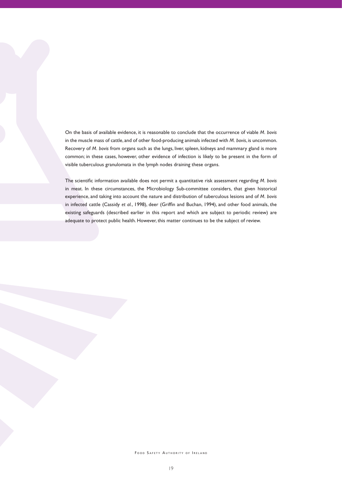On the basis of available evidence, it is reasonable to conclude that the occurrence of viable *M. bovis* in the muscle mass of cattle, and of other food-producing animals infected with *M. bovis*, is uncommon. Recovery of *M. bovis* from organs such as the lungs, liver, spleen, kidneys and mammary gland is more common; in these cases, however, other evidence of infection is likely to be present in the form of visible tuberculous granulomata in the lymph nodes draining these organs.

The scientific information available does not permit a quantitative risk assessment regarding *M. bovis* in meat. In these circumstances, the Microbiology Sub-committee considers, that given historical experience, and taking into account the nature and distribution of tuberculous lesions and of *M. bovis* in infected cattle (Cassidy *et al.*, 1998), deer (Griffin and Buchan, 1994), and other food animals, the existing safeguards (described earlier in this report and which are subject to periodic review) are adequate to protect public health. However, this matter continues to be the subject of review.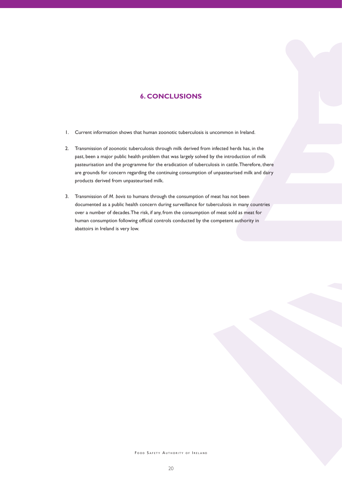## **6. CONCLUSIONS**

- 1. Current information shows that human zoonotic tuberculosis is uncommon in Ireland.
- 2. Transmission of zoonotic tuberculosis through milk derived from infected herds has, in the past, been a major public health problem that was largely solved by the introduction of milk pasteurisation and the programme for the eradication of tuberculosis in cattle.Therefore, there are grounds for concern regarding the continuing consumption of unpasteurised milk and dairy products derived from unpasteurised milk.
- 3. Transmission of *M. bovis* to humans through the consumption of meat has not been documented as a public health concern during surveillance for tuberculosis in many countries over a number of decades.The risk, if any, from the consumption of meat sold as meat for human consumption following official controls conducted by the competent authority in abattoirs in Ireland is very low.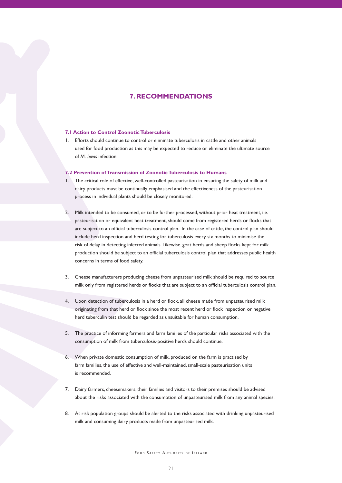## **7. RECOMMENDATIONS**

#### **7.1 Action to Control Zoonotic Tuberculosis**

Efforts should continue to control or eliminate tuberculosis in cattle and other animals used for food production as this may be expected to reduce or eliminate the ultimate source of *M. bovis* infection.

#### **7.2 Prevention of Transmission of Zoonotic Tuberculosis to Humans**

- 1. The critical role of effective, well-controlled pasteurisation in ensuring the safety of milk and dairy products must be continually emphasised and the effectiveness of the pasteurisation process in individual plants should be closely monitored.
- 2. Milk intended to be consumed, or to be further processed, without prior heat treatment, i.e. pasteurisation or equivalent heat treatment, should come from registered herds or flocks that are subject to an official tuberculosis control plan. In the case of cattle, the control plan should include herd inspection and herd testing for tuberculosis every six months to minimise the risk of delay in detecting infected animals. Likewise, goat herds and sheep flocks kept for milk production should be subject to an official tuberculosis control plan that addresses public health concerns in terms of food safety.
- 3. Cheese manufacturers producing cheese from unpasteurised milk should be required to source milk only from registered herds or flocks that are subject to an official tuberculosis control plan.
- 4. Upon detection of tuberculosis in a herd or flock, all cheese made from unpasteurised milk originating from that herd or flock since the most recent herd or flock inspection or negative herd tuberculin test should be regarded as unsuitable for human consumption.
- 5. The practice of informing farmers and farm families of the particular risks associated with the consumption of milk from tuberculosis-positive herds should continue.
- 6. When private domestic consumption of milk, produced on the farm is practised by farm families, the use of effective and well-maintained, small-scale pasteurisation units is recommended.
- 7. Dairy farmers, cheesemakers, their families and visitors to their premises should be advised about the risks associated with the consumption of unpasteurised milk from any animal species.
- 8. At risk population groups should be alerted to the risks associated with drinking unpasteurised milk and consuming dairy products made from unpasteurised milk.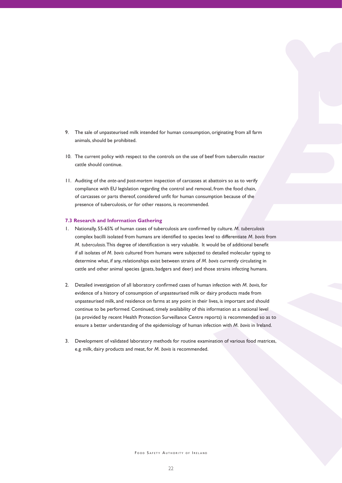- 9. The sale of unpasteurised milk intended for human consumption, originating from all farm animals, should be prohibited.
- 10. The current policy with respect to the controls on the use of beef from tuberculin reactor cattle should continue.
- 11. Auditing of the *ante*-and *post-mortem* inspection of carcasses at abattoirs so as to verify compliance with EU legislation regarding the control and removal, from the food chain, of carcasses or parts thereof, considered unfit for human consumption because of the presence of tuberculosis, or for other reasons, is recommended.

#### **7.3 Research and Information Gathering**

- 1. Nationally, 55-65% of human cases of tuberculosis are confirmed by culture. *M. tuberculosis* complex bacilli isolated from humans are identified to species level to differentiate *M. bovis* from *M. tuberculosis*.This degree of identification is very valuable. It would be of additional benefit if all isolates of *M. bovis* cultured from humans were subjected to detailed molecular typing to determine what, if any, relationships exist between strains of *M*. bovis currently circulating in cattle and other animal species (goats, badgers and deer) and those strains infecting humans.
- 2. Detailed investigation of all laboratory confirmed cases of human infection with *M. bovis*, for evidence of a history of consumption of unpasteurised milk or dairy products made from unpasteurised milk, and residence on farms at any point in their lives, is important and should continue to be performed. Continued, timely availability of this information at a national level (as provided by recent Health Protection Surveillance Centre reports) is recommended so as to ensure a better understanding of the epidemiology of human infection with *M. bovis* in Ireland.
- 3. Development of validated laboratory methods for routine examination of various food matrices, e.g. milk, dairy products and meat, for *M. bovis* is recommended.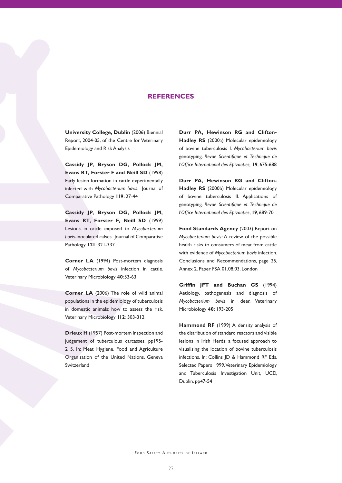### **REFERENCES**

**University College, Dublin** (2006) Biennial Report, 2004-05, of the Centre for Veterinary Epidemiology and Risk Analysis

**Cassidy JP, Bryson DG, Pollock JM, Evans RT, Forster F and Neill SD** (1998) Early lesion formation in cattle experimentally infected with *Mycobacterium bovis*. Journal of Comparative Pathology **119**: 27-44

**Cassidy JP, Bryson DG, Pollock JM, Evans RT, Forster F, Neill SD** (1999) Lesions in cattle exposed to *Mycobacterium bovis*-inoculated calves. Journal of Comparative Pathology. **121**: 321-337

**Corner LA** (1994) Post-mortem diagnosis of *Mycobacterium bovis* infection in cattle. Veterinary Microbiology **40**:53-63

**Corner LA** (2006) The role of wild animal populations in the epidemiology of tuberculosis in domestic animals: how to assess the risk. Veterinary Microbiology **112**: 303-312

**Drieux H** (1957) Post-mortem inspection and judgement of tuberculous carcasses. pp195- 215. In: Meat Hygiene. Food and Agriculture Organisation of the United Nations. Geneva Switzerland

**Durr PA, Hewinson RG and Clifton-Hadley RS** (2000a) Molecular epidemiology of bovine tuberculosis I. *Mycobacterium bovis* genotyping. *Revue Scientifique et Technique de l'Office International des Epizooties,* **19**, 675-688

**Durr PA, Hewinson RG and Clifton-Hadley RS** (2000b) Molecular epidemiology of bovine tuberculosis II. Applications of genotyping. *Revue Scientifique et Technique de l'Office International des Epizooties*, **19**, 689-70

**Food Standards Agency** (2003) Report on *Mycobacterium bovis*: A review of the possible health risks to consumers of meat from cattle with evidence of *Mycobacterium bovis* infection. Conclusions and Recommendations, page 25, Annex 2. Paper FSA 01.08.03. London

**Griffin JFT and Buchan GS** (1994) Aetiology, pathogenesis and diagnosis of *Mycobacterium bovis* in deer. Veterinary Microbiology **40**: 193-205

**Hammond RF** (1999) A density analysis of the distribution of standard reactors and visible lesions in Irish Herds: a focused approach to visualising the location of bovine tuberculosis infections. In: Collins JD & Hammond RF Eds. Selected Papers 1999.Veterinary Epidemiology and Tuberculosis Investigation Unit, UCD, Dublin. pp47-54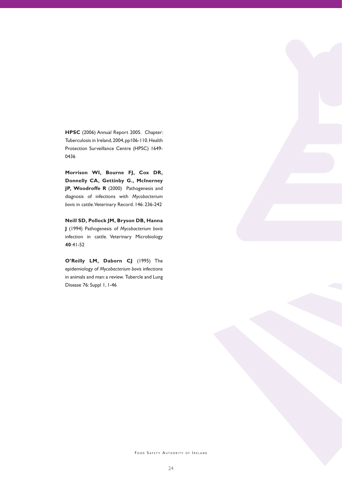**HPSC** (2006) Annual Report 2005. Chapter: Tuberculosis in Ireland,2004,pp106-110.Health Protection Surveillance Centre (HPSC) 1649- 0436

**Morrison WI, Bourne FJ, Cox DR, Donnelly CA, Gettinby G., McInerney JP, Woodroffe R** (2000) Pathogenesis and diagnosis of infections with *Mycobacterium bovis* in cattle.Veterinary Record. 146: 236-242

**Neill SD, Pollock JM, Bryson DB, Hanna J** (1994) Pathogenesis of *Mycobacterium bovis*  infection in cattle. Veterinary Microbiology **40**:41-52

**O'Reilly LM, Daborn CJ** (1995) The epidemiology of *Mycobacterium bovis* infections in animals and man: a review. Tubercle and Lung Disease 76: Suppl 1, 1-46